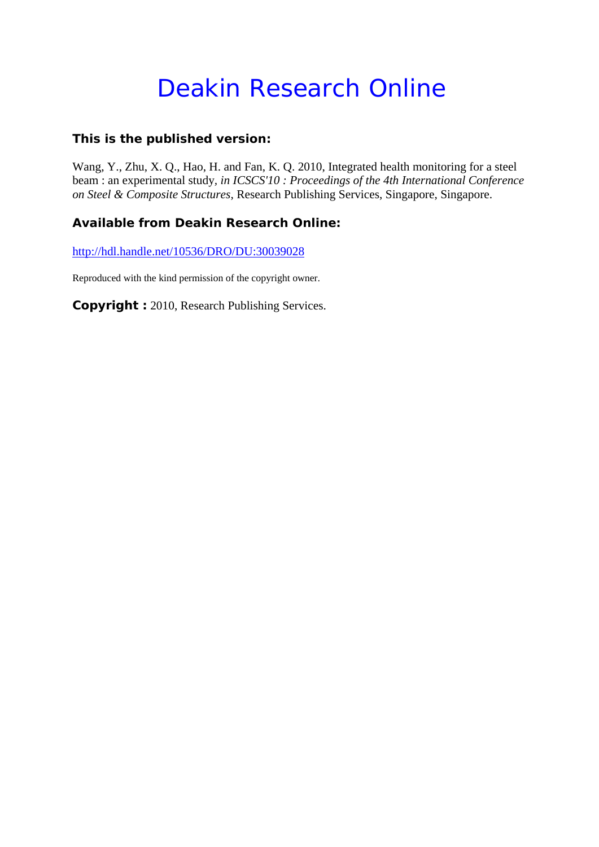# Deakin Research Online

# **This is the published version:**

Wang, Y., Zhu, X. Q., Hao, H. and Fan, K. Q. 2010, Integrated health monitoring for a steel beam : an experimental study*, in ICSCS'10 : Proceedings of the 4th International Conference on Steel & Composite Structures*, Research Publishing Services, Singapore, Singapore.

# **Available from Deakin Research Online:**

http://hdl.handle.net/10536/DRO/DU:30039028

Reproduced with the kind permission of the copyright owner.

**Copyright :** 2010, Research Publishing Services.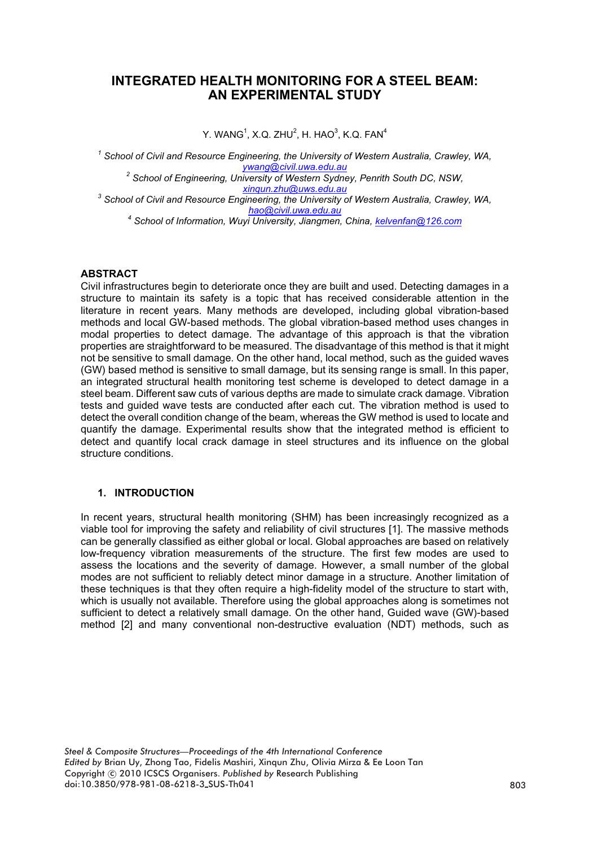## **INTEGRATED HEALTH MONITORING FOR A STEEL BEAM: AN EXPERIMENTAL STUDY**

Y. WANG $^1$ , X.Q. ZHU $^2$ , H. HAO $^3$ , K.Q. FAN $^4$ 

*1 School of Civil and Resource Engineering, the University of Western Australia, Crawley, WA, ywang@civil.uwa.edu.au <sup>2</sup> School of Engineering, University of Western Sydney, Penrith South DC, NSW, xinqun.zhu@uws.edu.au <sup>3</sup> School of Civil and Resource Engineering, the University of Western Australia, Crawley, WA, hao@civil.uwa.edu.au <sup>4</sup> School of Information, Wuyi University, Jiangmen, China, kelvenfan@126.com*

## **ABSTRACT**

Civil infrastructures begin to deteriorate once they are built and used. Detecting damages in a structure to maintain its safety is a topic that has received considerable attention in the literature in recent years. Many methods are developed, including global vibration-based methods and local GW-based methods. The global vibration-based method uses changes in modal properties to detect damage. The advantage of this approach is that the vibration properties are straightforward to be measured. The disadvantage of this method is that it might not be sensitive to small damage. On the other hand, local method, such as the guided waves (GW) based method is sensitive to small damage, but its sensing range is small. In this paper, an integrated structural health monitoring test scheme is developed to detect damage in a steel beam. Different saw cuts of various depths are made to simulate crack damage. Vibration tests and guided wave tests are conducted after each cut. The vibration method is used to detect the overall condition change of the beam, whereas the GW method is used to locate and quantify the damage. Experimental results show that the integrated method is efficient to detect and quantify local crack damage in steel structures and its influence on the global structure conditions.

## **1. INTRODUCTION**

In recent years, structural health monitoring (SHM) has been increasingly recognized as a viable tool for improving the safety and reliability of civil structures [1]. The massive methods can be generally classified as either global or local. Global approaches are based on relatively low-frequency vibration measurements of the structure. The first few modes are used to assess the locations and the severity of damage. However, a small number of the global modes are not sufficient to reliably detect minor damage in a structure. Another limitation of these techniques is that they often require a high-fidelity model of the structure to start with, which is usually not available. Therefore using the global approaches along is sometimes not sufficient to detect a relatively small damage. On the other hand, Guided wave (GW)-based method [2] and many conventional non-destructive evaluation (NDT) methods, such as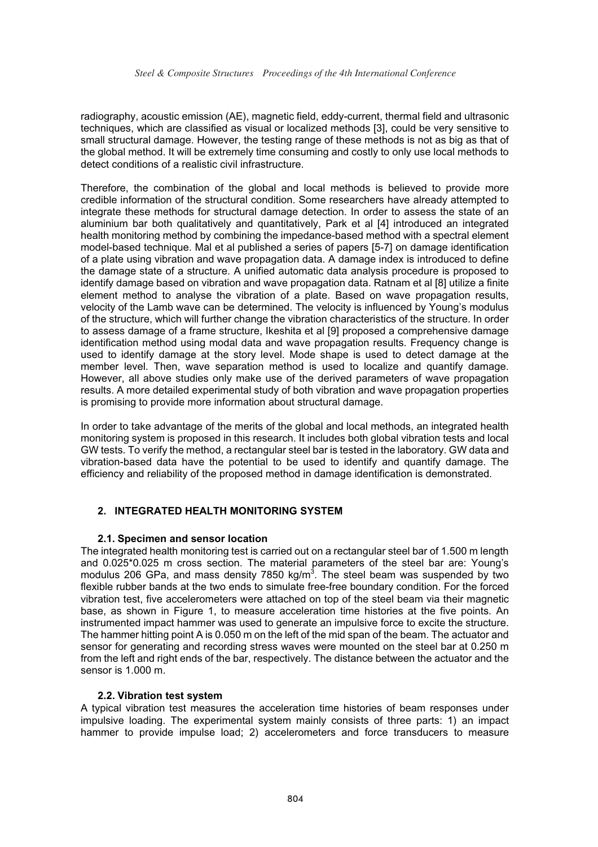radiography, acoustic emission (AE), magnetic field, eddy-current, thermal field and ultrasonic techniques, which are classified as visual or localized methods [3], could be very sensitive to small structural damage. However, the testing range of these methods is not as big as that of the global method. It will be extremely time consuming and costly to only use local methods to detect conditions of a realistic civil infrastructure.

Therefore, the combination of the global and local methods is believed to provide more credible information of the structural condition. Some researchers have already attempted to integrate these methods for structural damage detection. In order to assess the state of an aluminium bar both qualitatively and quantitatively, Park et al [4] introduced an integrated health monitoring method by combining the impedance-based method with a spectral element model-based technique. Mal et al published a series of papers [5-7] on damage identification of a plate using vibration and wave propagation data. A damage index is introduced to define the damage state of a structure. A unified automatic data analysis procedure is proposed to identify damage based on vibration and wave propagation data. Ratnam et al [8] utilize a finite element method to analyse the vibration of a plate. Based on wave propagation results, velocity of the Lamb wave can be determined. The velocity is influenced by Young's modulus of the structure, which will further change the vibration characteristics of the structure. In order to assess damage of a frame structure, Ikeshita et al [9] proposed a comprehensive damage identification method using modal data and wave propagation results. Frequency change is used to identify damage at the story level. Mode shape is used to detect damage at the member level. Then, wave separation method is used to localize and quantify damage. However, all above studies only make use of the derived parameters of wave propagation results. A more detailed experimental study of both vibration and wave propagation properties is promising to provide more information about structural damage.

In order to take advantage of the merits of the global and local methods, an integrated health monitoring system is proposed in this research. It includes both global vibration tests and local GW tests. To verify the method, a rectangular steel bar is tested in the laboratory. GW data and vibration-based data have the potential to be used to identify and quantify damage. The efficiency and reliability of the proposed method in damage identification is demonstrated.

## **2. INTEGRATED HEALTH MONITORING SYSTEM**

#### **2.1. Specimen and sensor location**

The integrated health monitoring test is carried out on a rectangular steel bar of 1.500 m length and 0.025\*0.025 m cross section. The material parameters of the steel bar are: Young's modulus 206 GPa, and mass density 7850 kg/m<sup>3</sup>. The steel beam was suspended by two flexible rubber bands at the two ends to simulate free-free boundary condition. For the forced vibration test, five accelerometers were attached on top of the steel beam via their magnetic base, as shown in Figure 1, to measure acceleration time histories at the five points. An instrumented impact hammer was used to generate an impulsive force to excite the structure. The hammer hitting point A is 0.050 m on the left of the mid span of the beam. The actuator and sensor for generating and recording stress waves were mounted on the steel bar at 0.250 m from the left and right ends of the bar, respectively. The distance between the actuator and the sensor is 1.000 m.

#### **2.2. Vibration test system**

A typical vibration test measures the acceleration time histories of beam responses under impulsive loading. The experimental system mainly consists of three parts: 1) an impact hammer to provide impulse load; 2) accelerometers and force transducers to measure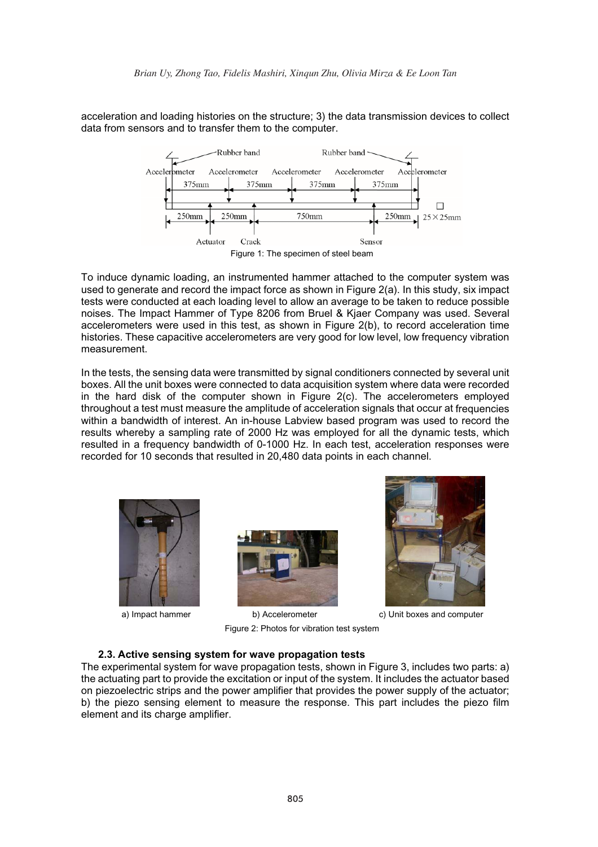acceleration and loading histories on the structure; 3) the data transmission devices to collect data from sensors and to transfer them to the computer.



To induce dynamic loading, an instrumented hammer attached to the computer system was used to generate and record the impact force as shown in Figure 2(a). In this study, six impact tests were conducted at each loading level to allow an average to be taken to reduce possible noises. The Impact Hammer of Type 8206 from Bruel & Kjaer Company was used. Several accelerometers were used in this test, as shown in Figure 2(b), to record acceleration time histories. These capacitive accelerometers are very good for low level, low frequency vibration measurement.

In the tests, the sensing data were transmitted by signal conditioners connected by several unit boxes. All the unit boxes were connected to data acquisition system where data were recorded in the hard disk of the computer shown in Figure 2(c). The accelerometers employed throughout a test must measure the amplitude of acceleration signals that occur at frequencies within a bandwidth of interest. An in-house Labview based program was used to record the results whereby a sampling rate of 2000 Hz was employed for all the dynamic tests, which resulted in a frequency bandwidth of 0-1000 Hz. In each test, acceleration responses were recorded for 10 seconds that resulted in 20,480 data points in each channel.







a) Impact hammer b) Accelerometer c) Unit boxes and computer

Figure 2: Photos for vibration test system

#### **2.3. Active sensing system for wave propagation tests**

The experimental system for wave propagation tests, shown in Figure 3, includes two parts: a) the actuating part to provide the excitation or input of the system. It includes the actuator based on piezoelectric strips and the power amplifier that provides the power supply of the actuator; b) the piezo sensing element to measure the response. This part includes the piezo film element and its charge amplifier.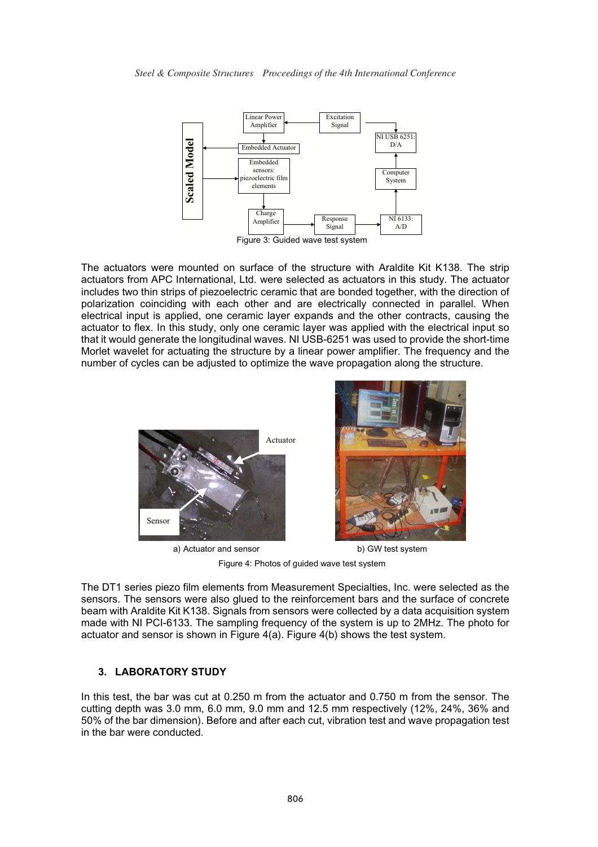

The actuators were mounted on surface of the structure with Araldite Kit K138. The strip actuators from APC International, Ltd. were selected as actuators in this study. The actuator includes two thin strips of piezoelectric ceramic that are bonded together, with the direction of polarization coinciding with each other and are electrically connected in parallel. When electrical input is applied, one ceramic layer expands and the other contracts, causing the actuator to flex. In this study, only one ceramic layer was applied with the electrical input so that it would generate the longitudinal waves. NI USB-6251 was used to provide the short-time Morlet wavelet for actuating the structure by a linear power amplifier. The frequency and the number of cycles can be adjusted to optimize the wave propagation along the structure.



Figure 4: Photos of guided wave test system

The DT1 series piezo film elements from Measurement Specialties, Inc. were selected as the sensors. The sensors were also glued to the reinforcement bars and the surface of concrete beam with Araldite Kit K138. Signals from sensors were collected by a data acquisition system made with NI PCI-6133. The sampling frequency of the system is up to 2MHz. The photo for actuator and sensor is shown in Figure  $4(a)$ . Figure  $4(b)$  shows the test system.

#### **3. LABORATORY STUDY**

In this test, the bar was cut at 0.250 m from the actuator and 0.750 m from the sensor. The cutting depth was 3.0 mm, 6.0 mm, 9.0 mm and 12.5 mm respectively (12%, 24%, 36% and 50% of the bar dimension). Before and after each cut, vibration test and wave propagation test in the bar were conducted.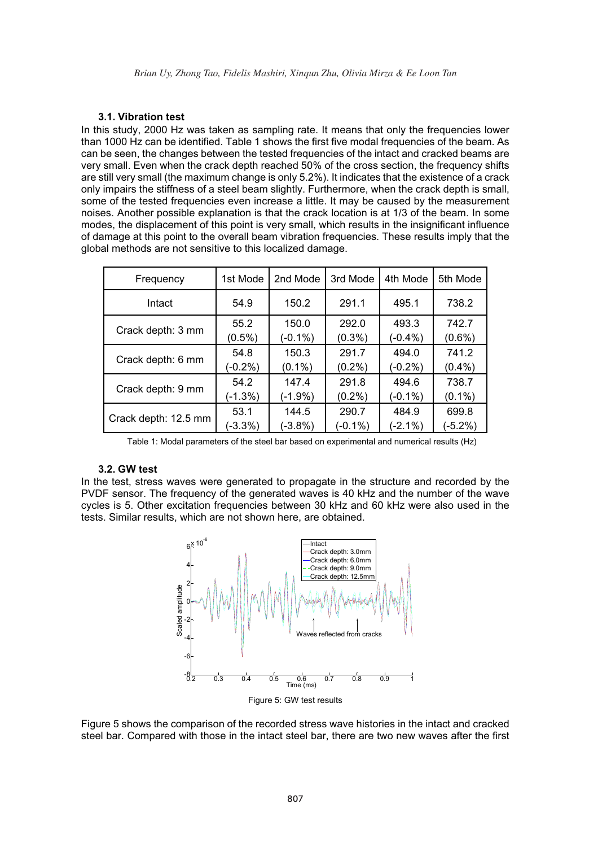#### **3.1. Vibration test**

In this study, 2000 Hz was taken as sampling rate. It means that only the frequencies lower than 1000 Hz can be identified. Table 1 shows the first five modal frequencies of the beam. As can be seen, the changes between the tested frequencies of the intact and cracked beams are very small. Even when the crack depth reached 50% of the cross section, the frequency shifts are still very small (the maximum change is only 5.2%). It indicates that the existence of a crack only impairs the stiffness of a steel beam slightly. Furthermore, when the crack depth is small, some of the tested frequencies even increase a little. It may be caused by the measurement noises. Another possible explanation is that the crack location is at 1/3 of the beam. In some modes, the displacement of this point is very small, which results in the insignificant influence of damage at this point to the overall beam vibration frequencies. These results imply that the global methods are not sensitive to this localized damage.

| Frequency            | 1st Mode   | 2nd Mode   | 3rd Mode   | 4th Mode   | 5th Mode   |
|----------------------|------------|------------|------------|------------|------------|
| Intact               | 54.9       | 150.2      | 291.1      | 495.1      | 738.2      |
| Crack depth: 3 mm    | 55.2       | 150.0      | 292.0      | 493.3      | 742.7      |
|                      | $(0.5\%)$  | $(-0.1\%)$ | $(0.3\%)$  | $(-0.4\%)$ | $(0.6\%)$  |
| Crack depth: 6 mm    | 54.8       | 150.3      | 291.7      | 494.0      | 741.2      |
|                      | $(-0.2\%)$ | $(0.1\%)$  | $(0.2\%)$  | $(-0.2\%)$ | $(0.4\%)$  |
| Crack depth: 9 mm    | 54.2       | 147.4      | 291.8      | 494.6      | 738.7      |
|                      | $(-1.3%)$  | (-1.9%)    | $(0.2\%)$  | $(-0.1\%)$ | $(0.1\%)$  |
| Crack depth: 12.5 mm | 53.1       | 144.5      | 290.7      | 484.9      | 699.8      |
|                      | $(-3.3\%)$ | $(-3.8%)$  | $(-0.1\%)$ | $(-2.1\%)$ | $(-5.2\%)$ |

Table 1: Modal parameters of the steel bar based on experimental and numerical results (Hz)

#### **3.2. GW test**

In the test, stress waves were generated to propagate in the structure and recorded by the PVDF sensor. The frequency of the generated waves is 40 kHz and the number of the wave cycles is 5. Other excitation frequencies between 30 kHz and 60 kHz were also used in the tests. Similar results, which are not shown here, are obtained.



Figure 5: GW test results

Figure 5 shows the comparison of the recorded stress wave histories in the intact and cracked steel bar. Compared with those in the intact steel bar, there are two new waves after the first